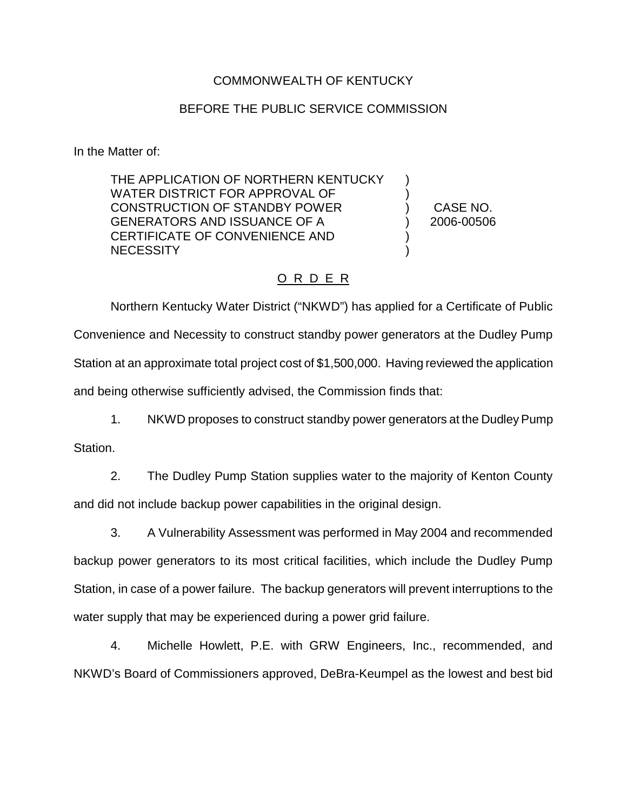## COMMONWEALTH OF KENTUCKY

## BEFORE THE PUBLIC SERVICE COMMISSION

In the Matter of:

THE APPLICATION OF NORTHERN KENTUCKY WATER DISTRICT FOR APPROVAL OF CONSTRUCTION OF STANDBY POWER GENERATORS AND ISSUANCE OF A CERTIFICATE OF CONVENIENCE AND **NECESSITY** ) ) ) ) ) )

CASE NO. 2006-00506

## O R D E R

Northern Kentucky Water District ("NKWD") has applied for a Certificate of Public Convenience and Necessity to construct standby power generators at the Dudley Pump Station at an approximate total project cost of \$1,500,000. Having reviewed the application and being otherwise sufficiently advised, the Commission finds that:

1. NKWD proposes to construct standby power generators at the Dudley Pump Station.

2. The Dudley Pump Station supplies water to the majority of Kenton County and did not include backup power capabilities in the original design.

3. A Vulnerability Assessment was performed in May 2004 and recommended backup power generators to its most critical facilities, which include the Dudley Pump Station, in case of a power failure. The backup generators will prevent interruptions to the water supply that may be experienced during a power grid failure.

4. Michelle Howlett, P.E. with GRW Engineers, Inc., recommended, and NKWD's Board of Commissioners approved, DeBra-Keumpel as the lowest and best bid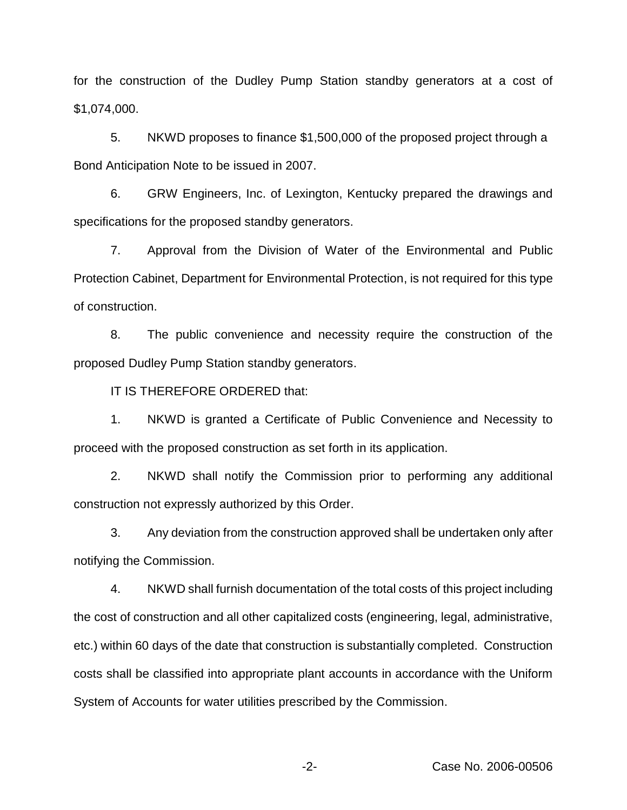for the construction of the Dudley Pump Station standby generators at a cost of \$1,074,000.

5. NKWD proposes to finance \$1,500,000 of the proposed project through a Bond Anticipation Note to be issued in 2007.

6. GRW Engineers, Inc. of Lexington, Kentucky prepared the drawings and specifications for the proposed standby generators.

7. Approval from the Division of Water of the Environmental and Public Protection Cabinet, Department for Environmental Protection, is not required for this type of construction.

8. The public convenience and necessity require the construction of the proposed Dudley Pump Station standby generators.

IT IS THEREFORE ORDERED that:

1. NKWD is granted a Certificate of Public Convenience and Necessity to proceed with the proposed construction as set forth in its application.

2. NKWD shall notify the Commission prior to performing any additional construction not expressly authorized by this Order.

3. Any deviation from the construction approved shall be undertaken only after notifying the Commission.

4. NKWD shall furnish documentation of the total costs of this project including the cost of construction and all other capitalized costs (engineering, legal, administrative, etc.) within 60 days of the date that construction is substantially completed. Construction costs shall be classified into appropriate plant accounts in accordance with the Uniform System of Accounts for water utilities prescribed by the Commission.